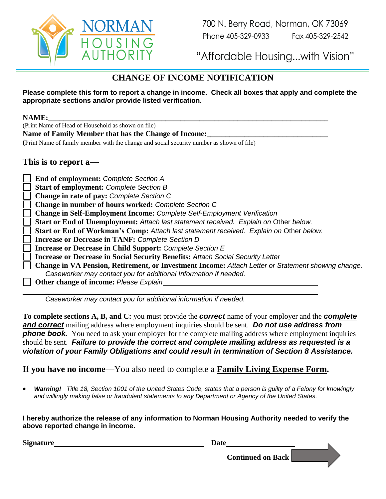

700 N. Berry Road, Norman, OK 73069 Phone 405-329-0933 Fax 405-329-2542

"Affordable Housing...with Vision"

## **CHANGE OF INCOME NOTIFICATION**

## **Please complete this form to report a change in income. Check all boxes that apply and complete the appropriate sections and/or provide listed verification.**

| NAME:                                                                                     |
|-------------------------------------------------------------------------------------------|
| (Print Name of Head of Household as shown on file)                                        |
| Name of Family Member that has the Change of Income:                                      |
| (Print Name of family member with the change and social security number as shown of file) |
| This is to report $a$ —                                                                   |
| End of employment: Complete Section A                                                     |
| <b>Start of employment: Complete Section B</b>                                            |
| Change in rate of pay: Complete Section C                                                 |
| Change in number of hours worked: Complete Section C                                      |
| <b>Change in Self-Employment Income: Complete Self-Employment Verification</b>            |
| Start or End of Unemployment: Attach last statement received. Explain on Other below.     |
| Start or End of Workman's Comp: Attach last statement received. Explain on Other below.   |
|                                                                                           |

- **Increase or Decrease in TANF:** *Complete Section D*
- **Increase or Decrease in Child Support:** *Complete Section E*
- **Increase or Decrease in Social Security Benefits:** *Attach Social Security Letter*
- **Change in VA Pension, Retirement, or Investment Income:** *Attach Letter or Statement showing change. Caseworker may contact you for additional Information if needed.*
- **Other change of income:** *Please Explain*

*\_\_\_\_\_\_ Caseworker may contact you for additional information if needed.*

**To complete sections A, B, and C:** you must provide the *correct* name of your employer and the *complete and correct* mailing address where employment inquiries should be sent.*Do not use address from*  **phone book.** You need to ask your employer for the complete mailing address where employment inquiries should be sent. *Failure to provide the correct and complete mailing address as requested is a violation of your Family Obligations and could result in termination of Section 8 Assistance.* 

**If you have no income—**You also need to complete a **Family Living Expense Form.**

• *Warning! Title 18, Section 1001 of the United States Code, states that a person is guilty of a Felony for knowingly and willingly making false or fraudulent statements to any Department or Agency of the United States.*

**I hereby authorize the release of any information to Norman Housing Authority needed to verify the above reported change in income.**

| Signature | Date                     |
|-----------|--------------------------|
|           | <b>Continued on Back</b> |